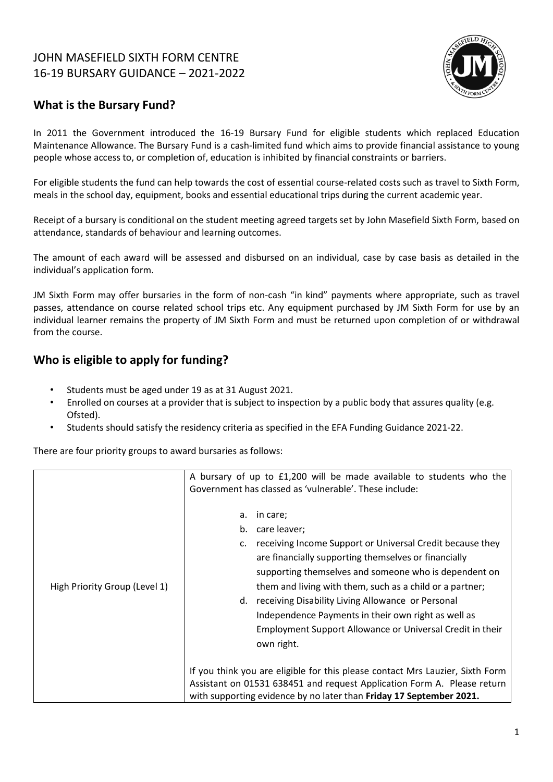# JOHN MASEFIELD SIXTH FORM CENTRE 16-19 BURSARY GUIDANCE – 2021-2022



## **What is the Bursary Fund?**

In 2011 the Government introduced the 16-19 Bursary Fund for eligible students which replaced Education Maintenance Allowance. The Bursary Fund is a cash-limited fund which aims to provide financial assistance to young people whose access to, or completion of, education is inhibited by financial constraints or barriers.

For eligible students the fund can help towards the cost of essential course-related costs such as travel to Sixth Form, meals in the school day, equipment, books and essential educational trips during the current academic year.

Receipt of a bursary is conditional on the student meeting agreed targets set by John Masefield Sixth Form, based on attendance, standards of behaviour and learning outcomes.

The amount of each award will be assessed and disbursed on an individual, case by case basis as detailed in the individual's application form.

JM Sixth Form may offer bursaries in the form of non-cash "in kind" payments where appropriate, such as travel passes, attendance on course related school trips etc. Any equipment purchased by JM Sixth Form for use by an individual learner remains the property of JM Sixth Form and must be returned upon completion of or withdrawal from the course.

## **Who is eligible to apply for funding?**

- Students must be aged under 19 as at 31 August 2021.
- Enrolled on courses at a provider that is subject to inspection by a public body that assures quality (e.g. Ofsted).
- Students should satisfy the residency criteria as specified in the EFA Funding Guidance 2021-22.

There are four priority groups to award bursaries as follows:

|                               | A bursary of up to £1,200 will be made available to students who the<br>Government has classed as 'vulnerable'. These include:                                                                                                                                                                                                                                                                                                                                |
|-------------------------------|---------------------------------------------------------------------------------------------------------------------------------------------------------------------------------------------------------------------------------------------------------------------------------------------------------------------------------------------------------------------------------------------------------------------------------------------------------------|
| High Priority Group (Level 1) | in care;<br>a.<br>b. care leaver;<br>receiving Income Support or Universal Credit because they<br>c.<br>are financially supporting themselves or financially<br>supporting themselves and someone who is dependent on<br>them and living with them, such as a child or a partner;<br>d. receiving Disability Living Allowance or Personal<br>Independence Payments in their own right as well as<br>Employment Support Allowance or Universal Credit in their |
|                               | own right.<br>If you think you are eligible for this please contact Mrs Lauzier, Sixth Form<br>Assistant on 01531 638451 and request Application Form A. Please return<br>with supporting evidence by no later than Friday 17 September 2021.                                                                                                                                                                                                                 |